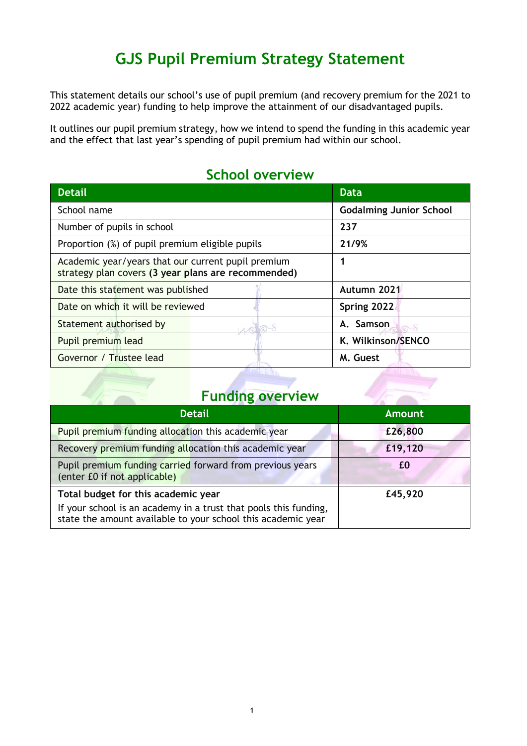# **GJS Pupil Premium Strategy Statement**

This statement details our school's use of pupil premium (and recovery premium for the 2021 to 2022 academic year) funding to help improve the attainment of our disadvantaged pupils.

It outlines our pupil premium strategy, how we intend to spend the funding in this academic year and the effect that last year's spending of pupil premium had within our school.

| <b>Detail</b>                                                                                             | <b>Data</b>                    |  |  |  |  |
|-----------------------------------------------------------------------------------------------------------|--------------------------------|--|--|--|--|
| School name                                                                                               | <b>Godalming Junior School</b> |  |  |  |  |
| Number of pupils in school                                                                                | 237                            |  |  |  |  |
| Proportion (%) of pupil premium eligible pupils                                                           | 21/9%                          |  |  |  |  |
| Academic year/years that our current pupil premium<br>strategy plan covers (3 year plans are recommended) |                                |  |  |  |  |
| Date this statement was published                                                                         | Autumn 2021                    |  |  |  |  |
| Date on which it will be reviewed                                                                         | Spring 2022                    |  |  |  |  |
| Statement authorised by                                                                                   | A. Samson                      |  |  |  |  |
| Pupil premium lead                                                                                        | K. Wilkinson/SENCO             |  |  |  |  |
| Governor / Trustee lead                                                                                   | M. Guest                       |  |  |  |  |

### **School overview**

## **Funding overview**

| <b>Detail</b>                                                                                                                    | <b>Amount</b> |
|----------------------------------------------------------------------------------------------------------------------------------|---------------|
| Pupil premium funding allocation this academic year                                                                              | £26,800       |
| Recovery premium funding allocation this academic year                                                                           | £19,120       |
| Pupil premium funding carried forward from previous years<br>(enter £0 if not applicable)                                        | £0            |
| Total budget for this academic year                                                                                              | £45,920       |
| If your school is an academy in a trust that pools this funding,<br>state the amount available to your school this academic year |               |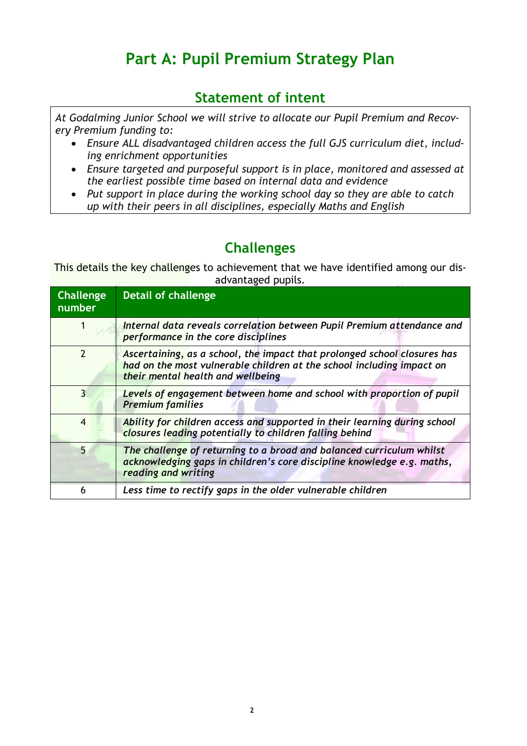# **Part A: Pupil Premium Strategy Plan**

## **Statement of intent**

*At Godalming Junior School we will strive to allocate our Pupil Premium and Recovery Premium funding to:*

- *Ensure ALL disadvantaged children access the full GJS curriculum diet, including enrichment opportunities*
- *Ensure targeted and purposeful support is in place, monitored and assessed at the earliest possible time based on internal data and evidence*
- *Put support in place during the working school day so they are able to catch up with their peers in all disciplines, especially Maths and English*

### **Challenges**

This details the key challenges to achievement that we have identified among our disadvantaged pupils.

| <b>Challenge</b><br>number | <b>Detail of challenge</b>                                                                                                                                                             |
|----------------------------|----------------------------------------------------------------------------------------------------------------------------------------------------------------------------------------|
|                            | Internal data reveals correlation between Pupil Premium attendance and<br>performance in the core disciplines                                                                          |
| $\mathfrak{p}$             | Ascertaining, as a school, the impact that prolonged school closures has<br>had on the most vulnerable children at the school including impact on<br>their mental health and wellbeing |
| 3                          | Levels of engagement between home and school with proportion of pupil<br><b>Premium families</b>                                                                                       |
| $\overline{4}$             | Ability for children access and supported in their learning during school<br>closures leading potentially to children falling behind                                                   |
| 5                          | The challenge of returning to a broad and balanced curriculum whilst<br>acknowledging gaps in children's core discipline knowledge e.g. maths,<br>reading and writing                  |
| 6                          | Less time to rectify gaps in the older vulnerable children                                                                                                                             |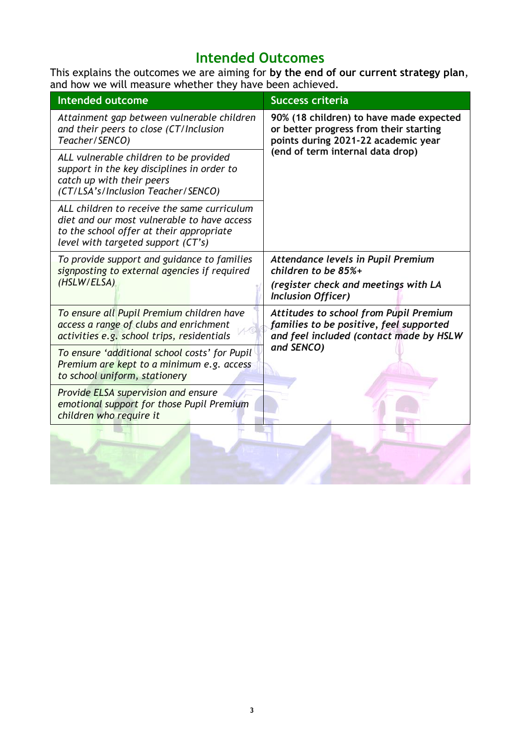## **Intended Outcomes**

This explains the outcomes we are aiming for **by the end of our current strategy plan**, and how we will measure whether they have been achieved.

| <b>Intended outcome</b>                                                                                                                                                      | <b>Success criteria</b>                                                                                                                                      |  |  |  |  |
|------------------------------------------------------------------------------------------------------------------------------------------------------------------------------|--------------------------------------------------------------------------------------------------------------------------------------------------------------|--|--|--|--|
| Attainment gap between vulnerable children<br>and their peers to close (CT/Inclusion<br>Teacher/SENCO)                                                                       | 90% (18 children) to have made expected<br>or better progress from their starting<br>points during 2021-22 academic year<br>(end of term internal data drop) |  |  |  |  |
| ALL vulnerable children to be provided<br>support in the key disciplines in order to<br>catch up with their peers<br>(CT/LSA's/Inclusion Teacher/SENCO)                      |                                                                                                                                                              |  |  |  |  |
| ALL children to receive the same curriculum<br>diet and our most vulnerable to have access<br>to the school offer at their appropriate<br>level with targeted support (CT's) |                                                                                                                                                              |  |  |  |  |
| To provide support and guidance to families<br>signposting to external agencies if required<br>(HSLW/ELSA)                                                                   | Attendance levels in Pupil Premium<br>children to be 85%+<br>(register check and meetings with LA<br><b>Inclusion Officer)</b>                               |  |  |  |  |
| To ensure all Pupil Premium children have<br>access a range of clubs and enrichment<br>activities e.g. school trips, residentials                                            | <b>Attitudes to school from Pupil Premium</b><br>families to be positive, feel supported<br>and feel included (contact made by HSLW                          |  |  |  |  |
| To ensure 'additional school costs' for Pupil<br>Premium are kept to a minimum e.g. access<br>to school uniform, stationery                                                  | and SENCO)                                                                                                                                                   |  |  |  |  |
| Provide ELSA supervision and ensure<br>emotional support for those Pupil Premium<br>children who require it                                                                  |                                                                                                                                                              |  |  |  |  |
|                                                                                                                                                                              |                                                                                                                                                              |  |  |  |  |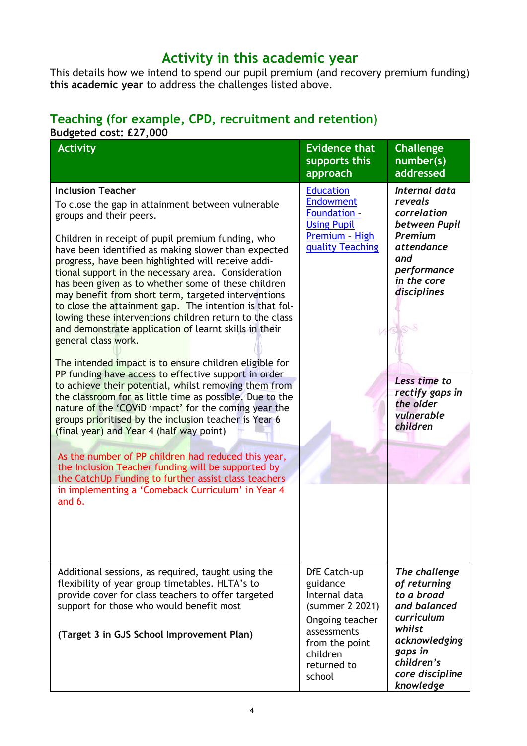## **Activity in this academic year**

This details how we intend to spend our pupil premium (and recovery premium funding) **this academic year** to address the challenges listed above.

#### **Teaching (for example, CPD, recruitment and retention) Budgeted cost: £27,000**

| agataa aosti pel<br><b>Activity</b>                                                                                                                                                                                                                                                                                                                                                                                                                                                                                                                                                                                                                                                                                                                                                                                                                                                                                                                                                                                                                                                                                                                                    | <b>Evidence that</b><br>supports this<br>approach                                                                                                     | <b>Challenge</b><br>number(s)<br>addressed                                                                                                                                                                                    |
|------------------------------------------------------------------------------------------------------------------------------------------------------------------------------------------------------------------------------------------------------------------------------------------------------------------------------------------------------------------------------------------------------------------------------------------------------------------------------------------------------------------------------------------------------------------------------------------------------------------------------------------------------------------------------------------------------------------------------------------------------------------------------------------------------------------------------------------------------------------------------------------------------------------------------------------------------------------------------------------------------------------------------------------------------------------------------------------------------------------------------------------------------------------------|-------------------------------------------------------------------------------------------------------------------------------------------------------|-------------------------------------------------------------------------------------------------------------------------------------------------------------------------------------------------------------------------------|
| <b>Inclusion Teacher</b><br>To close the gap in attainment between vulnerable<br>groups and their peers.<br>Children in receipt of pupil premium funding, who<br>have been identified as making slower than expected<br>progress, have been highlighted will receive addi-<br>tional support in the necessary area. Consideration<br>has been given as to whether some of these children<br>may benefit from short term, targeted interventions<br>to close the attainment gap. The intention is that fol-<br>lowing these interventions children return to the class<br>and demonstrate application of learnt skills in their<br>general class work.<br>The intended impact is to ensure children eligible for<br>PP funding have access to effective support in order<br>to achieve their potential, whilst removing them from<br>the classroom for as little time as possible. Due to the<br>nature of the 'COViD impact' for the coming year the<br>groups prioritised by the inclusion teacher is Year 6<br>(final year) and Year 4 (half way point)<br>As the number of PP children had reduced this year,<br>the Inclusion Teacher funding will be supported by | <b>Education</b><br><b>Endowment</b><br>Foundation -<br><b>Using Pupil</b><br>Premium - High<br>quality Teaching                                      | <b>Internal data</b><br>reveals<br>correlation<br>between Pupil<br>Premium<br><i>attendance</i><br>and<br>performance<br>in the core<br>disciplines<br>Less time to<br>rectify gaps in<br>the older<br>vulnerable<br>children |
| the CatchUp Funding to further assist class teachers<br>in implementing a 'Comeback Curriculum' in Year 4<br>and 6.                                                                                                                                                                                                                                                                                                                                                                                                                                                                                                                                                                                                                                                                                                                                                                                                                                                                                                                                                                                                                                                    |                                                                                                                                                       |                                                                                                                                                                                                                               |
| Additional sessions, as required, taught using the<br>flexibility of year group timetables. HLTA's to<br>provide cover for class teachers to offer targeted<br>support for those who would benefit most<br>(Target 3 in GJS School Improvement Plan)                                                                                                                                                                                                                                                                                                                                                                                                                                                                                                                                                                                                                                                                                                                                                                                                                                                                                                                   | DfE Catch-up<br>guidance<br>Internal data<br>(summer 2 2021)<br>Ongoing teacher<br>assessments<br>from the point<br>children<br>returned to<br>school | The challenge<br>of returning<br>to a broad<br>and balanced<br>curriculum<br>whilst<br>acknowledging<br>gaps in<br>children's<br>core discipline<br>knowledge                                                                 |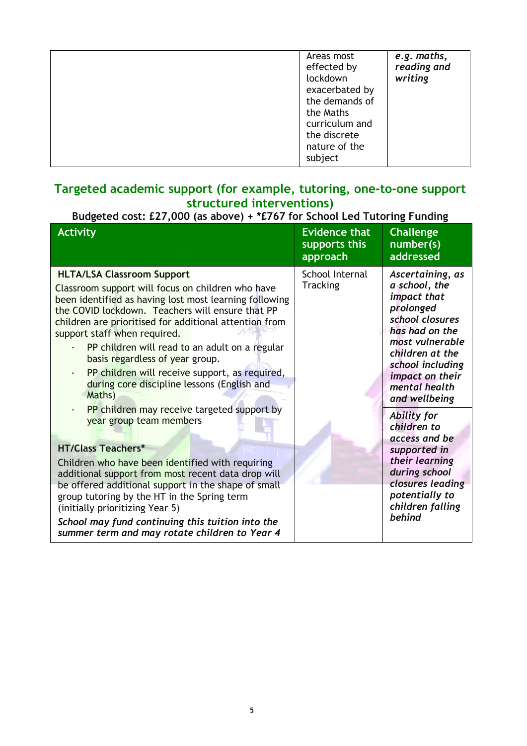|  | Areas most<br>effected by<br>lockdown<br>exacerbated by<br>the demands of<br>the Maths<br>curriculum and<br>the discrete<br>nature of the<br>subject | e.g. maths,<br>reading and<br>writing |
|--|------------------------------------------------------------------------------------------------------------------------------------------------------|---------------------------------------|
|--|------------------------------------------------------------------------------------------------------------------------------------------------------|---------------------------------------|

#### **Targeted academic support (for example, tutoring, one-to-one support structured interventions)**

### **Budgeted cost: £27,000 (as above) + \*£767 for School Led Tutoring Funding**

| <b>Activity</b>                                                                                                                                                                                                                                                                                                                                                                                                                                                                                                                                                                                                                                                                                                                                                                                                                                                                                                                                               | <b>Evidence that</b><br>supports this<br>approach | <b>Challenge</b><br>number(s)<br>addressed                                                                                                                                                                                                                                                                                                                                              |
|---------------------------------------------------------------------------------------------------------------------------------------------------------------------------------------------------------------------------------------------------------------------------------------------------------------------------------------------------------------------------------------------------------------------------------------------------------------------------------------------------------------------------------------------------------------------------------------------------------------------------------------------------------------------------------------------------------------------------------------------------------------------------------------------------------------------------------------------------------------------------------------------------------------------------------------------------------------|---------------------------------------------------|-----------------------------------------------------------------------------------------------------------------------------------------------------------------------------------------------------------------------------------------------------------------------------------------------------------------------------------------------------------------------------------------|
| <b>HLTA/LSA Classroom Support</b><br>Classroom support will focus on children who have<br>been identified as having lost most learning following<br>the COVID lockdown. Teachers will ensure that PP<br>children are prioritised for additional attention from<br>support staff when required.<br>PP children will read to an adult on a regular<br>basis regardless of year group.<br>PP children will receive support, as required,<br>during core discipline lessons (English and<br>Maths)<br>PP children may receive targeted support by<br>year group team members<br><b>HT/Class Teachers*</b><br>Children who have been identified with requiring<br>additional support from most recent data drop will<br>be offered additional support in the shape of small<br>group tutoring by the HT in the Spring term<br>(initially prioritizing Year 5)<br>School may fund continuing this tuition into the<br>summer term and may rotate children to Year 4 | School Internal<br><b>Tracking</b>                | Ascertaining, as<br>a school, the<br>impact that<br>prolonged<br>school closures<br>has had on the<br>most vulnerable<br>children at the<br>school including<br>impact on their<br>mental health<br>and wellbeing<br>Ability for<br>children to<br>access and be<br>supported in<br>their learning<br>during school<br>closures leading<br>potentially to<br>children falling<br>behind |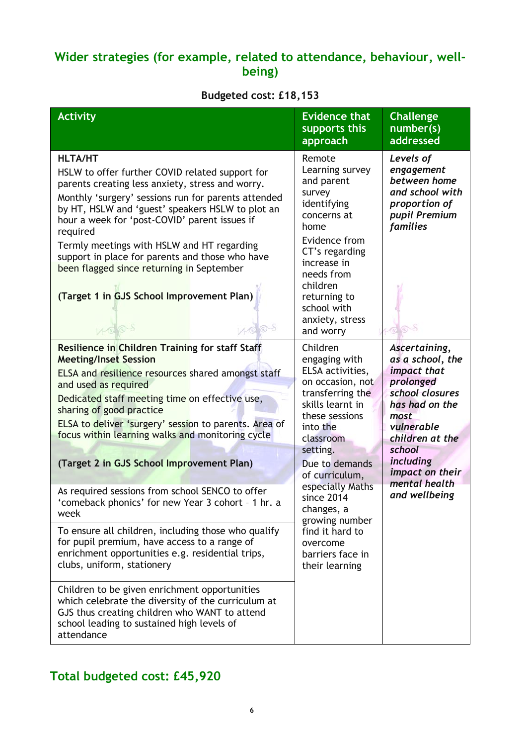### **Wider strategies (for example, related to attendance, behaviour, wellbeing)**

### **Budgeted cost: £18,153**

| <b>Activity</b>                                                                                                                                                                                                                                                                                                                                                                                                                                                                                                                                                                                                                                                                                                 | <b>Evidence that</b><br>supports this<br>approach                                                                                                                                                                                                                                                                                           | <b>Challenge</b><br>number(s)<br>addressed                                                                                                                                                                                     |
|-----------------------------------------------------------------------------------------------------------------------------------------------------------------------------------------------------------------------------------------------------------------------------------------------------------------------------------------------------------------------------------------------------------------------------------------------------------------------------------------------------------------------------------------------------------------------------------------------------------------------------------------------------------------------------------------------------------------|---------------------------------------------------------------------------------------------------------------------------------------------------------------------------------------------------------------------------------------------------------------------------------------------------------------------------------------------|--------------------------------------------------------------------------------------------------------------------------------------------------------------------------------------------------------------------------------|
| <b>HLTA/HT</b><br>HSLW to offer further COVID related support for<br>parents creating less anxiety, stress and worry.<br>Monthly 'surgery' sessions run for parents attended<br>by HT, HSLW and 'guest' speakers HSLW to plot an<br>hour a week for 'post-COVID' parent issues if<br>required<br>Termly meetings with HSLW and HT regarding<br>support in place for parents and those who have<br>been flagged since returning in September<br>(Target 1 in GJS School Improvement Plan)<br>1000                                                                                                                                                                                                                | Remote<br>Learning survey<br>and parent<br>survey<br>identifying<br>concerns at<br>home<br>Evidence from<br>CT's regarding<br>increase in<br>needs from<br>children<br>returning to<br>school with<br>anxiety, stress<br>and worry                                                                                                          | Levels of<br>engagement<br>between home<br>and school with<br>proportion of<br>pupil Premium<br>families                                                                                                                       |
| Resilience in Children Training for staff Staff<br><b>Meeting/Inset Session</b><br>ELSA and resilience resources shared amongst staff<br>and used as required<br>Dedicated staff meeting time on effective use,<br>sharing of good practice<br>ELSA to deliver 'surgery' session to parents. Area of<br>focus within learning walks and monitoring cycle<br>(Target 2 in GJS School Improvement Plan)<br>As required sessions from school SENCO to offer<br>'comeback phonics' for new Year 3 cohort - 1 hr. a<br>week<br>To ensure all children, including those who qualify<br>for pupil premium, have access to a range of<br>enrichment opportunities e.g. residential trips,<br>clubs, uniform, stationery | Children<br>engaging with<br>ELSA activities,<br>on occasion, not<br>transferring the<br>skills learnt in<br>these sessions<br>into the<br>classroom<br>setting.<br>Due to demands<br>of curriculum,<br>especially Maths<br>since 2014<br>changes, a<br>growing number<br>find it hard to<br>overcome<br>barriers face in<br>their learning | Ascertaining,<br>as a school, the<br><i>impact that</i><br>prolonged<br>school closures<br>has had on the<br>most<br>vulnerable<br>children at the<br>school<br>including<br>impact on their<br>mental health<br>and wellbeing |
| Children to be given enrichment opportunities<br>which celebrate the diversity of the curriculum at<br>GJS thus creating children who WANT to attend<br>school leading to sustained high levels of<br>attendance                                                                                                                                                                                                                                                                                                                                                                                                                                                                                                |                                                                                                                                                                                                                                                                                                                                             |                                                                                                                                                                                                                                |

## **Total budgeted cost: £45,920**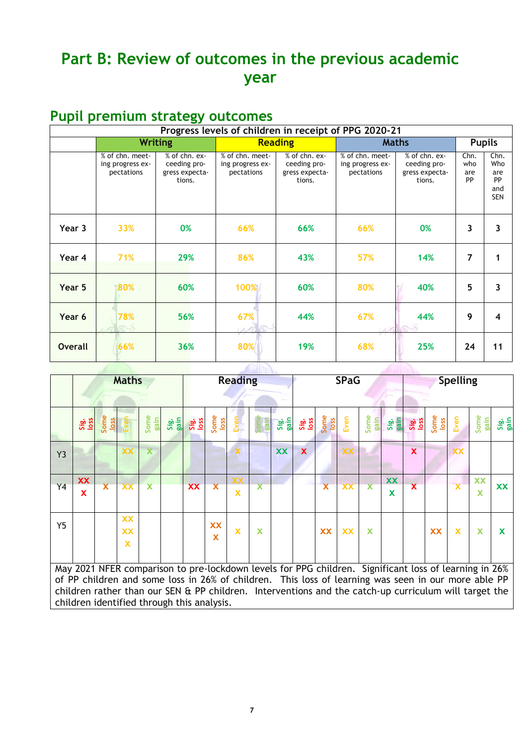# **Part B: Review of outcomes in the previous academic year**

## **Pupil premium strategy outcomes**

|                |                                                   |                                                           | Progress levels of children in receipt of PPG 2020-21 |                                                           |                                                   |                                                           |                          |                                               |   |   |
|----------------|---------------------------------------------------|-----------------------------------------------------------|-------------------------------------------------------|-----------------------------------------------------------|---------------------------------------------------|-----------------------------------------------------------|--------------------------|-----------------------------------------------|---|---|
|                |                                                   | <b>Writing</b>                                            |                                                       | <b>Reading</b>                                            | <b>Maths</b>                                      | <b>Pupils</b>                                             |                          |                                               |   |   |
|                | % of chn. meet-<br>ing progress ex-<br>pectations | % of chn. ex-<br>ceeding pro-<br>gress expecta-<br>tions. | % of chn. meet-<br>ing progress ex-<br>pectations     | % of chn. ex-<br>ceeding pro-<br>gress expecta-<br>tions. | % of chn. meet-<br>ing progress ex-<br>pectations | % of chn. ex-<br>ceeding pro-<br>gress expecta-<br>tions. | Chn.<br>who<br>are<br>PP | Chn.<br>Who<br>are<br>PP<br>and<br><b>SEN</b> |   |   |
| Year 3         | 33%<br>0%                                         |                                                           | 66%                                                   |                                                           | 66%<br>66%                                        |                                                           | 3                        | 3                                             |   |   |
| Year 4         | 71%<br>29%                                        |                                                           | 43%<br>86%                                            |                                                           | 57%                                               | 14%                                                       | 7                        | 1                                             |   |   |
| Year 5         | 80%<br>60%                                        |                                                           | 100%<br>60%                                           |                                                           |                                                   |                                                           | 80%                      | 40%                                           | 5 | 3 |
| Year 6         | 78%<br>56%<br>6S                                  |                                                           | 67%<br>$A \sqrt{6}$ (5)                               | 44%                                                       | 67%                                               | 44%                                                       | 9                        | 4                                             |   |   |
| <b>Overall</b> | 66%<br>36%                                        |                                                           | 80%<br>19%                                            |                                                           | 68%                                               | 25%                                                       | 24                       | 11                                            |   |   |
|                |                                                   |                                                           |                                                       |                                                           |                                                   |                                                           |                          |                                               |   |   |

|                |                                                                                                                                                                                                                                                                                                                               |                         | <b>Maths</b>                                      |                         |              |             | <b>Reading</b>                       |                         |              |              |              | <b>SPaG</b>             |                          |                         |              |                         | <b>Spelling</b> |                         |              |              |
|----------------|-------------------------------------------------------------------------------------------------------------------------------------------------------------------------------------------------------------------------------------------------------------------------------------------------------------------------------|-------------------------|---------------------------------------------------|-------------------------|--------------|-------------|--------------------------------------|-------------------------|--------------|--------------|--------------|-------------------------|--------------------------|-------------------------|--------------|-------------------------|-----------------|-------------------------|--------------|--------------|
|                |                                                                                                                                                                                                                                                                                                                               |                         |                                                   |                         |              |             |                                      |                         |              |              |              |                         |                          |                         |              |                         |                 |                         |              |              |
|                |                                                                                                                                                                                                                                                                                                                               |                         |                                                   |                         |              |             |                                      |                         |              |              |              |                         |                          |                         |              |                         |                 |                         |              |              |
|                | Sig.<br>loss                                                                                                                                                                                                                                                                                                                  | Some<br>loss            | Even                                              | Some<br>gain            | Sig.<br>gain | Sig.<br>Oss | Some<br>loss                         | Even                    | Some<br>gain | Sig.<br>gain | Sig.<br>Ioss | Some<br>loss            | Even                     | Some<br>gain            | Sig.<br>gain | Sig.<br>Ioss            | Some<br>loss    | Even                    | Some<br>gain | Sig.<br>gain |
| Y <sub>3</sub> |                                                                                                                                                                                                                                                                                                                               |                         | <b>XX</b>                                         | $\overline{\mathbf{x}}$ |              |             |                                      | $\mathbf x$             |              | <b>XX</b>    | $\mathbf{x}$ |                         | <b>XX</b>                |                         |              | X                       |                 | <b>XX</b>               |              |              |
|                | <b>XX</b>                                                                                                                                                                                                                                                                                                                     |                         |                                                   |                         |              |             |                                      | <b>XX</b>               |              |              |              |                         |                          |                         | <b>XX</b>    |                         |                 |                         | <b>XX</b>    |              |
| Y4             | <b>X</b>                                                                                                                                                                                                                                                                                                                      | $\overline{\mathbf{x}}$ | $\overline{\mathbf{X}}$                           | $\overline{\textbf{x}}$ |              | <b>XX</b>   | $\overline{\mathbf{x}}$              | $\overline{\mathbf{x}}$ | X            |              |              | $\overline{\textbf{x}}$ | $\overline{\mathbf{XX}}$ | $\overline{\textbf{x}}$ | X            | $\overline{\mathbf{x}}$ |                 | $\overline{\mathbf{x}}$ | X            | <b>XX</b>    |
| Y <sub>5</sub> |                                                                                                                                                                                                                                                                                                                               |                         | <b>XX</b><br><b>XX</b><br>$\overline{\mathbf{x}}$ |                         |              |             | <b>XX</b><br>$\overline{\mathbf{x}}$ | $\mathbf x$             | X            |              |              | <b>XX</b>               | <b>XX</b>                | $\mathbf x$             |              |                         | <b>XX</b>       | $\mathbf x$             | $\mathbf x$  | $\mathbf x$  |
|                | May 2021 NFER comparison to pre-lockdown levels for PPG children. Significant loss of learning in 26%<br>of PP children and some loss in 26% of children. This loss of learning was seen in our more able PP<br>children rather than our SEN $\hat{a}$ PP children. Interventions and the catch-up curriculum will target the |                         |                                                   |                         |              |             |                                      |                         |              |              |              |                         |                          |                         |              |                         |                 |                         |              |              |

children identified through this analysis.